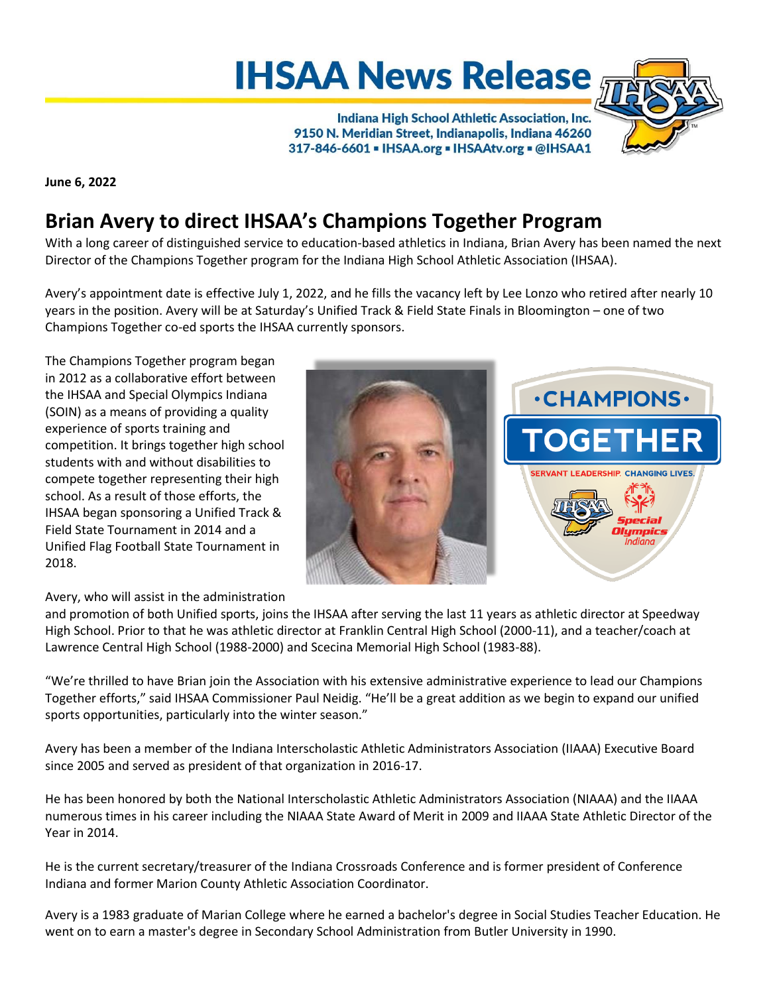## **IHSAA News Release**

Indiana High School Athletic Association, Inc. 9150 N. Meridian Street, Indianapolis, Indiana 46260 317-846-6601 - IHSAA.org - IHSAAtv.org - @IHSAA1



**June 6, 2022**

## **Brian Avery to direct IHSAA's Champions Together Program**

With a long career of distinguished service to education-based athletics in Indiana, Brian Avery has been named the next Director of the Champions Together program for the Indiana High School Athletic Association (IHSAA).

Avery's appointment date is effective July 1, 2022, and he fills the vacancy left by Lee Lonzo who retired after nearly 10 years in the position. Avery will be at Saturday's Unified Track & Field State Finals in Bloomington – one of two Champions Together co-ed sports the IHSAA currently sponsors.

The Champions Together program began in 2012 as a collaborative effort between the IHSAA and Special Olympics Indiana (SOIN) as a means of providing a quality experience of sports training and competition. It brings together high school students with and without disabilities to compete together representing their high school. As a result of those efforts, the IHSAA began sponsoring a Unified Track & Field State Tournament in 2014 and a Unified Flag Football State Tournament in 2018.



Avery, who will assist in the administration

and promotion of both Unified sports, joins the IHSAA after serving the last 11 years as athletic director at Speedway High School. Prior to that he was athletic director at Franklin Central High School (2000-11), and a teacher/coach at Lawrence Central High School (1988-2000) and Scecina Memorial High School (1983-88).

"We're thrilled to have Brian join the Association with his extensive administrative experience to lead our Champions Together efforts," said IHSAA Commissioner Paul Neidig. "He'll be a great addition as we begin to expand our unified sports opportunities, particularly into the winter season."

Avery has been a member of the Indiana Interscholastic Athletic Administrators Association (IIAAA) Executive Board since 2005 and served as president of that organization in 2016-17.

He has been honored by both the National Interscholastic Athletic Administrators Association (NIAAA) and the IIAAA numerous times in his career including the NIAAA State Award of Merit in 2009 and IIAAA State Athletic Director of the Year in 2014.

He is the current secretary/treasurer of the Indiana Crossroads Conference and is former president of Conference Indiana and former Marion County Athletic Association Coordinator.

Avery is a 1983 graduate of Marian College where he earned a bachelor's degree in Social Studies Teacher Education. He went on to earn a master's degree in Secondary School Administration from Butler University in 1990.